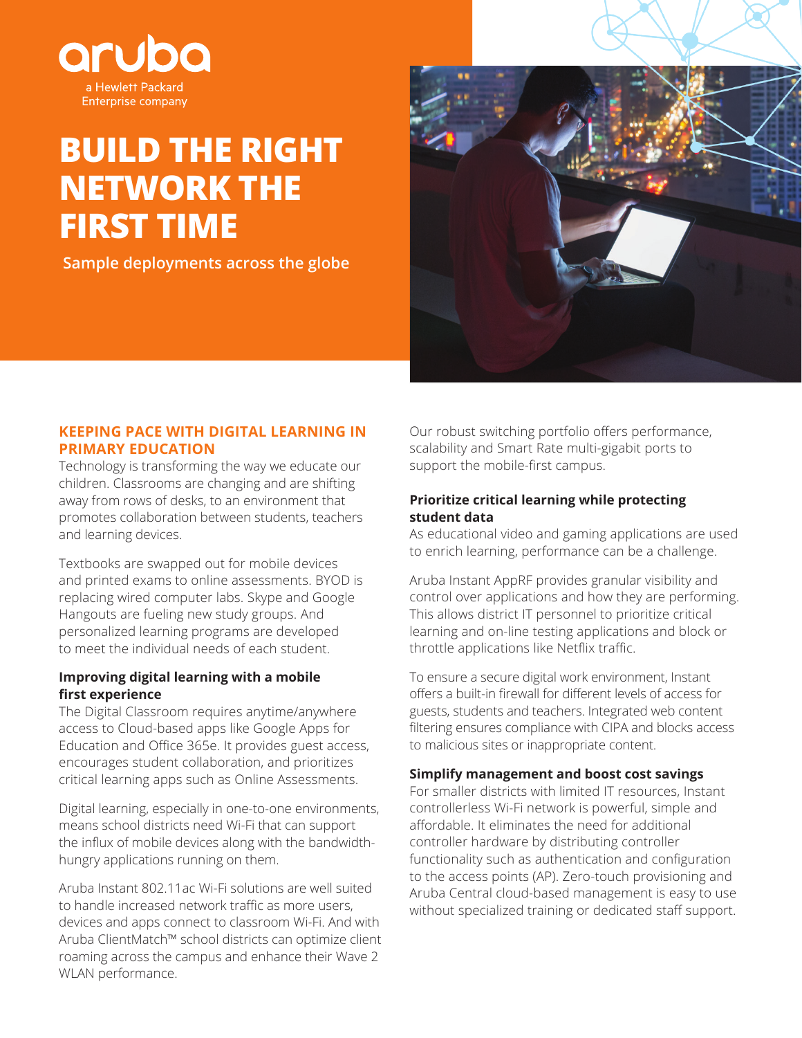

# **BUILD THE RIGHT NETWORK THE FIRST TIME**

 **Sample deployments across the globe**



#### **KEEPING PACE WITH DIGITAL LEARNING IN PRIMARY EDUCATION**

Technology is transforming the way we educate our children. Classrooms are changing and are shifting away from rows of desks, to an environment that promotes collaboration between students, teachers and learning devices.

Textbooks are swapped out for mobile devices and printed exams to online assessments. BYOD is replacing wired computer labs. Skype and Google Hangouts are fueling new study groups. And personalized learning programs are developed to meet the individual needs of each student.

#### **Improving digital learning with a mobile first experience**

The Digital Classroom requires anytime/anywhere access to Cloud-based apps like Google Apps for Education and Office 365e. It provides guest access, encourages student collaboration, and prioritizes critical learning apps such as Online Assessments.

Digital learning, especially in one-to-one environments, means school districts need Wi-Fi that can support the influx of mobile devices along with the bandwidthhungry applications running on them.

Aruba Instant 802.11ac Wi-Fi solutions are well suited to handle increased network traffic as more users, devices and apps connect to classroom Wi-Fi. And with Aruba ClientMatch™ school districts can optimize client roaming across the campus and enhance their Wave 2 WLAN performance.

Our robust switching portfolio offers performance, scalability and Smart Rate multi-gigabit ports to support the mobile-first campus.

#### **Prioritize critical learning while protecting student data**

As educational video and gaming applications are used to enrich learning, performance can be a challenge.

Aruba Instant AppRF provides granular visibility and control over applications and how they are performing. This allows district IT personnel to prioritize critical learning and on-line testing applications and block or throttle applications like Netflix traffic.

To ensure a secure digital work environment, Instant offers a built-in firewall for different levels of access for guests, students and teachers. Integrated web content filtering ensures compliance with CIPA and blocks access to malicious sites or inappropriate content.

#### **Simplify management and boost cost savings**

For smaller districts with limited IT resources, Instant controllerless Wi-Fi network is powerful, simple and affordable. It eliminates the need for additional controller hardware by distributing controller functionality such as authentication and configuration to the access points (AP). Zero-touch provisioning and Aruba Central cloud-based management is easy to use without specialized training or dedicated staff support.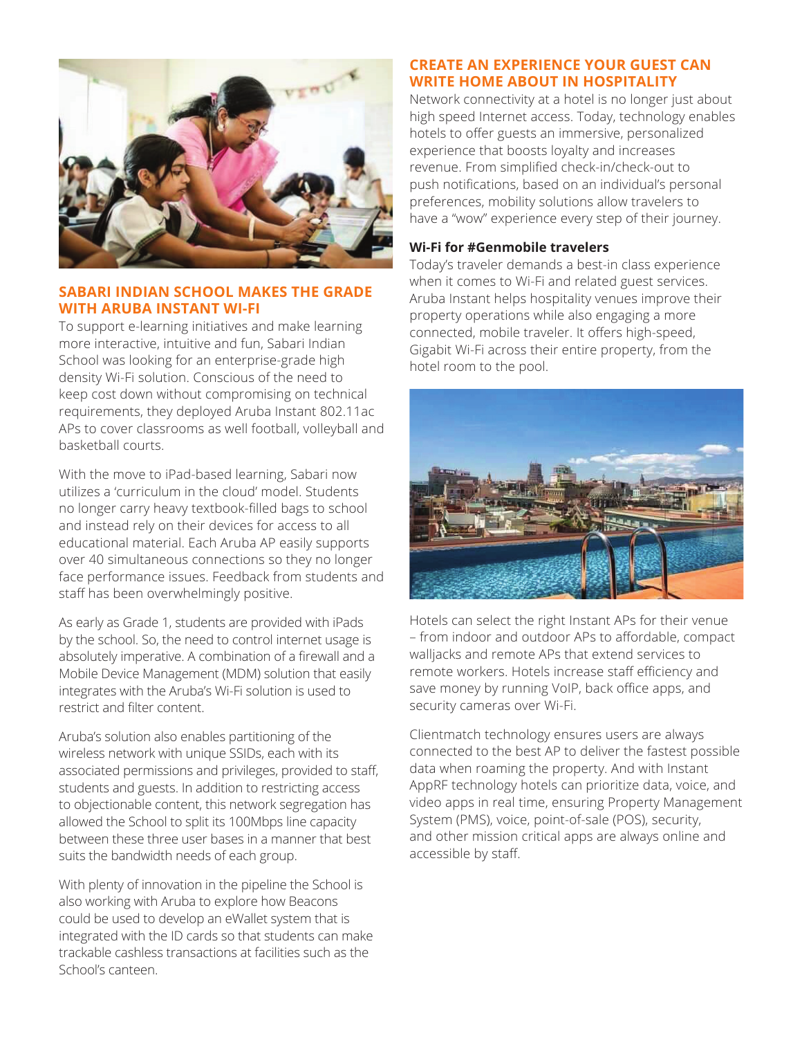

## **SABARI INDIAN SCHOOL MAKES THE GRADE WITH ARUBA INSTANT WI-FI**

To support e-learning initiatives and make learning more interactive, intuitive and fun, Sabari Indian School was looking for an enterprise-grade high density Wi-Fi solution. Conscious of the need to keep cost down without compromising on technical requirements, they deployed Aruba Instant 802.11ac APs to cover classrooms as well football, volleyball and basketball courts.

With the move to iPad-based learning, Sabari now utilizes a 'curriculum in the cloud' model. Students no longer carry heavy textbook-filled bags to school and instead rely on their devices for access to all educational material. Each Aruba AP easily supports over 40 simultaneous connections so they no longer face performance issues. Feedback from students and staff has been overwhelmingly positive.

As early as Grade 1, students are provided with iPads by the school. So, the need to control internet usage is absolutely imperative. A combination of a firewall and a Mobile Device Management (MDM) solution that easily integrates with the Aruba's Wi-Fi solution is used to restrict and filter content.

Aruba's solution also enables partitioning of the wireless network with unique SSIDs, each with its associated permissions and privileges, provided to staff, students and guests. In addition to restricting access to objectionable content, this network segregation has allowed the School to split its 100Mbps line capacity between these three user bases in a manner that best suits the bandwidth needs of each group.

With plenty of innovation in the pipeline the School is also working with Aruba to explore how Beacons could be used to develop an eWallet system that is integrated with the ID cards so that students can make trackable cashless transactions at facilities such as the School's canteen.

# **CREATE AN EXPERIENCE YOUR GUEST CAN WRITE HOME ABOUT IN HOSPITALITY**

Network connectivity at a hotel is no longer just about high speed Internet access. Today, technology enables hotels to offer guests an immersive, personalized experience that boosts loyalty and increases revenue. From simplified check-in/check-out to push notifications, based on an individual's personal preferences, mobility solutions allow travelers to have a "wow" experience every step of their journey.

## **Wi-Fi for #Genmobile travelers**

Today's traveler demands a best-in class experience when it comes to Wi-Fi and related guest services. Aruba Instant helps hospitality venues improve their property operations while also engaging a more connected, mobile traveler. It offers high-speed, Gigabit Wi-Fi across their entire property, from the hotel room to the pool.



Hotels can select the right Instant APs for their venue – from indoor and outdoor APs to affordable, compact walljacks and remote APs that extend services to remote workers. Hotels increase staff efficiency and save money by running VoIP, back office apps, and security cameras over Wi-Fi.

Clientmatch technology ensures users are always connected to the best AP to deliver the fastest possible data when roaming the property. And with Instant AppRF technology hotels can prioritize data, voice, and video apps in real time, ensuring Property Management System (PMS), voice, point-of-sale (POS), security, and other mission critical apps are always online and accessible by staff.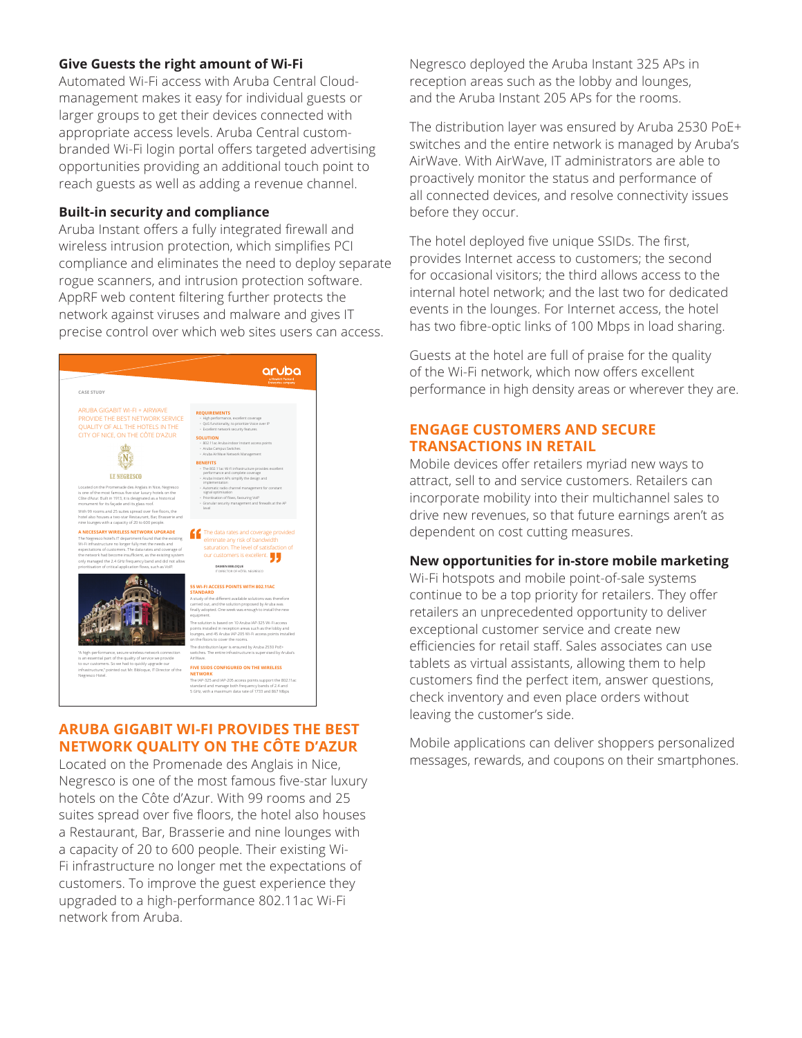#### **Give Guests the right amount of Wi-Fi**

Automated Wi-Fi access with Aruba Central Cloudmanagement makes it easy for individual guests or larger groups to get their devices connected with appropriate access levels. Aruba Central custombranded Wi-Fi login portal offers targeted advertising opportunities providing an additional touch point to reach guests as well as adding a revenue channel.

#### **Built-in security and compliance**

Aruba Instant offers a fully integrated firewall and wireless intrusion protection, which simplifies PCI compliance and eliminates the need to deploy separate rogue scanners, and intrusion protection software. AppRF web content filtering further protects the network against viruses and malware and gives IT precise control over which web sites users can access.



## **ARUBA GIGABIT WI-FI PROVIDES THE BEST NETWORK QUALITY ON THE CÔTE D'AZUR**

Located on the Promenade des Anglais in Nice, Negresco is one of the most famous five-star luxury hotels on the Côte d'Azur. With 99 rooms and 25 suites spread over five floors, the hotel also houses a Restaurant, Bar, Brasserie and nine lounges with a capacity of 20 to 600 people. Their existing Wi-Fi infrastructure no longer met the expectations of customers. To improve the guest experience they upgraded to a high-performance 802.11ac Wi-Fi network from Aruba.

Negresco deployed the Aruba Instant 325 APs in reception areas such as the lobby and lounges, and the Aruba Instant 205 APs for the rooms.

The distribution layer was ensured by Aruba 2530 PoE+ switches and the entire network is managed by Aruba's AirWave. With AirWave, IT administrators are able to proactively monitor the status and performance of all connected devices, and resolve connectivity issues before they occur.

The hotel deployed five unique SSIDs. The first, provides Internet access to customers; the second for occasional visitors; the third allows access to the internal hotel network; and the last two for dedicated events in the lounges. For Internet access, the hotel has two fibre-optic links of 100 Mbps in load sharing.

Guests at the hotel are full of praise for the quality of the Wi-Fi network, which now offers excellent performance in high density areas or wherever they are.

## **ENGAGE CUSTOMERS AND SECURE TRANSACTIONS IN RETAIL**

Mobile devices offer retailers myriad new ways to attract, sell to and service customers. Retailers can incorporate mobility into their multichannel sales to drive new revenues, so that future earnings aren't as dependent on cost cutting measures.

#### **New opportunities for in-store mobile marketing**

Wi-Fi hotspots and mobile point-of-sale systems continue to be a top priority for retailers. They offer retailers an unprecedented opportunity to deliver exceptional customer service and create new efficiencies for retail staff. Sales associates can use tablets as virtual assistants, allowing them to help customers find the perfect item, answer questions, check inventory and even place orders without leaving the customer's side.

Mobile applications can deliver shoppers personalized messages, rewards, and coupons on their smartphones.